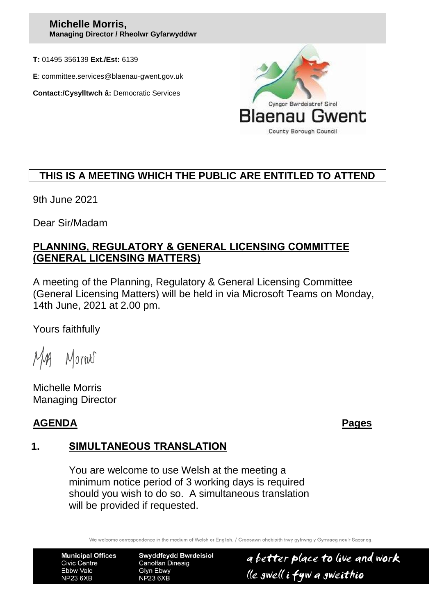#### **Michelle Morris, Managing Director / Rheolwr Gyfarwyddwr**

**T:** 01495 356139 **Ext./Est:** 6139

**E**: committee.services@blaenau-gwent.gov.uk

**Contact:/Cysylltwch â:** Democratic Services



# **THIS IS A MEETING WHICH THE PUBLIC ARE ENTITLED TO ATTEND**

9th June 2021

Dear Sir/Madam

#### **PLANNING, REGULATORY & GENERAL LICENSING COMMITTEE (GENERAL LICENSING MATTERS)**

A meeting of the Planning, Regulatory & General Licensing Committee (General Licensing Matters) will be held in via Microsoft Teams on Monday, 14th June, 2021 at 2.00 pm.

Yours faithfully

Morres

Michelle Morris Managing Director

# **AGENDA Pages**

## **1. SIMULTANEOUS TRANSLATION**

You are welcome to use Welsh at the meeting a minimum notice period of 3 working days is required should you wish to do so. A simultaneous translation will be provided if requested.

We welcome correspondence in the medium of Welsh or English. / Croesawn ohebiaith trwy gyfrwng y Gymraeg neu'r Saesneg

**Municipal Offices Civic Centre** Ebbw Vale **NP23 6XB** 

**Swyddfeydd Bwrdeisiol Canolfan Dinesig** Glyn Ebwy **NP23 6XB** 

a better place to live and work lle gwell i fyw a gweithio